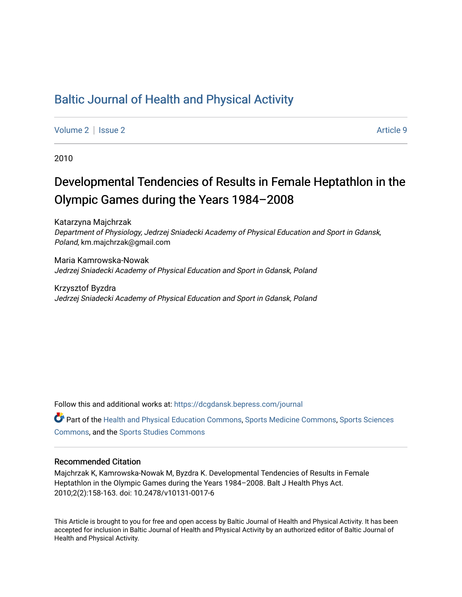## [Baltic Journal of Health and Physical Activity](https://dcgdansk.bepress.com/journal)

[Volume 2](https://dcgdansk.bepress.com/journal/vol2) | [Issue 2](https://dcgdansk.bepress.com/journal/vol2/iss2) Article 9

2010

# Developmental Tendencies of Results in Female Heptathlon in the Olympic Games during the Years 1984–2008

Katarzyna Majchrzak Department of Physiology, Jedrzej Sniadecki Academy of Physical Education and Sport in Gdansk, Poland, km.majchrzak@gmail.com

Maria Kamrowska-Nowak Jedrzej Sniadecki Academy of Physical Education and Sport in Gdansk, Poland

Krzysztof Byzdra Jedrzej Sniadecki Academy of Physical Education and Sport in Gdansk, Poland

Follow this and additional works at: [https://dcgdansk.bepress.com/journal](https://dcgdansk.bepress.com/journal?utm_source=dcgdansk.bepress.com%2Fjournal%2Fvol2%2Fiss2%2F9&utm_medium=PDF&utm_campaign=PDFCoverPages)

Part of the [Health and Physical Education Commons](http://network.bepress.com/hgg/discipline/1327?utm_source=dcgdansk.bepress.com%2Fjournal%2Fvol2%2Fiss2%2F9&utm_medium=PDF&utm_campaign=PDFCoverPages), [Sports Medicine Commons,](http://network.bepress.com/hgg/discipline/1331?utm_source=dcgdansk.bepress.com%2Fjournal%2Fvol2%2Fiss2%2F9&utm_medium=PDF&utm_campaign=PDFCoverPages) [Sports Sciences](http://network.bepress.com/hgg/discipline/759?utm_source=dcgdansk.bepress.com%2Fjournal%2Fvol2%2Fiss2%2F9&utm_medium=PDF&utm_campaign=PDFCoverPages) [Commons](http://network.bepress.com/hgg/discipline/759?utm_source=dcgdansk.bepress.com%2Fjournal%2Fvol2%2Fiss2%2F9&utm_medium=PDF&utm_campaign=PDFCoverPages), and the [Sports Studies Commons](http://network.bepress.com/hgg/discipline/1198?utm_source=dcgdansk.bepress.com%2Fjournal%2Fvol2%2Fiss2%2F9&utm_medium=PDF&utm_campaign=PDFCoverPages) 

#### Recommended Citation

Majchrzak K, Kamrowska-Nowak M, Byzdra K. Developmental Tendencies of Results in Female Heptathlon in the Olympic Games during the Years 1984–2008. Balt J Health Phys Act. 2010;2(2):158-163. doi: 10.2478/v10131-0017-6

This Article is brought to you for free and open access by Baltic Journal of Health and Physical Activity. It has been accepted for inclusion in Baltic Journal of Health and Physical Activity by an authorized editor of Baltic Journal of Health and Physical Activity.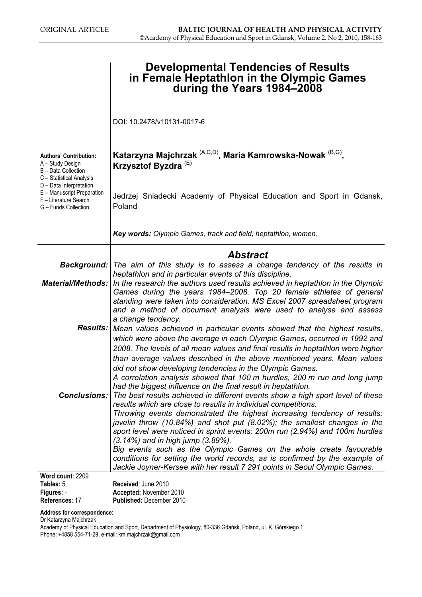|                                                                                                        | <b>Developmental Tendencies of Results</b><br>in Female Heptathlon in the Olympic Games<br>during the Years 1984–2008                                                                                                                                                                                                            |
|--------------------------------------------------------------------------------------------------------|----------------------------------------------------------------------------------------------------------------------------------------------------------------------------------------------------------------------------------------------------------------------------------------------------------------------------------|
|                                                                                                        | DOI: 10.2478/v10131-0017-6                                                                                                                                                                                                                                                                                                       |
| <b>Authors' Contribution:</b><br>A - Study Design<br>B - Data Collection<br>C - Statistical Analysis   | Katarzyna Majchrzak <sup>(A,C,D)</sup> , Maria Kamrowska-Nowak <sup>(B,G)</sup> ,<br>Krzysztof Byzdra <sup>(E)</sup>                                                                                                                                                                                                             |
| D - Data Interpretation<br>E - Manuscript Preparation<br>F - Literature Search<br>G - Funds Collection | Jedrzej Sniadecki Academy of Physical Education and Sport in Gdansk,<br>Poland                                                                                                                                                                                                                                                   |
|                                                                                                        | Key words: Olympic Games, track and field, heptathlon, women.                                                                                                                                                                                                                                                                    |
|                                                                                                        | <b>Abstract</b>                                                                                                                                                                                                                                                                                                                  |
|                                                                                                        | <b>Background:</b> The aim of this study is to assess a change tendency of the results in<br>heptathlon and in particular events of this discipline.                                                                                                                                                                             |
|                                                                                                        | <b>Material/Methods:</b> In the research the authors used results achieved in heptathlon in the Olympic<br>Games during the years 1984-2008. Top 20 female athletes of general<br>standing were taken into consideration. MS Excel 2007 spreadsheet program<br>and a method of document analysis were used to analyse and assess |
|                                                                                                        | a change tendency.<br>Results: Mean values achieved in particular events showed that the highest results,<br>which were above the average in each Olympic Games, occurred in 1992 and<br>2008. The levels of all mean values and final results in heptathlon were higher                                                         |
|                                                                                                        | than average values described in the above mentioned years. Mean values<br>did not show developing tendencies in the Olympic Games.<br>A correlation analysis showed that 100 m hurdles, 200 m run and long jump                                                                                                                 |
| <b>Conclusions:</b>                                                                                    | had the biggest influence on the final result in heptathlon.<br>The best results achieved in different events show a high sport level of these<br>results which are close to results in individual competitions.                                                                                                                 |
|                                                                                                        | Throwing events demonstrated the highest increasing tendency of results:<br>javelin throw (10.84%) and shot put (8.02%); the smallest changes in the<br>sport level were noticed in sprint events: 200m run (2.94%) and 100m hurdles                                                                                             |
|                                                                                                        | $(3.14%)$ and in high jump $(3.89%)$ .<br>Big events such as the Olympic Games on the whole create favourable                                                                                                                                                                                                                    |
|                                                                                                        | conditions for setting the world records, as is confirmed by the example of<br>Jackie Joyner-Kersee with her result 7 291 points in Seoul Olympic Games.                                                                                                                                                                         |
| Word count: 2209                                                                                       |                                                                                                                                                                                                                                                                                                                                  |
| Tables: 5                                                                                              | Received: June 2010                                                                                                                                                                                                                                                                                                              |
| Figures: -                                                                                             | Accepted: November 2010                                                                                                                                                                                                                                                                                                          |
| References: 17                                                                                         | Published: December 2010                                                                                                                                                                                                                                                                                                         |

#### Address for correspondence:

Dr Katarzyna Majchrzak

Academy of Physical Education and Sport, Department of Physiology, 80-336 Gdańsk, Poland, ul. K. Górskiego 1 Phone: +4858 554-71-29, e-mail: km.majchrzak@gmail.com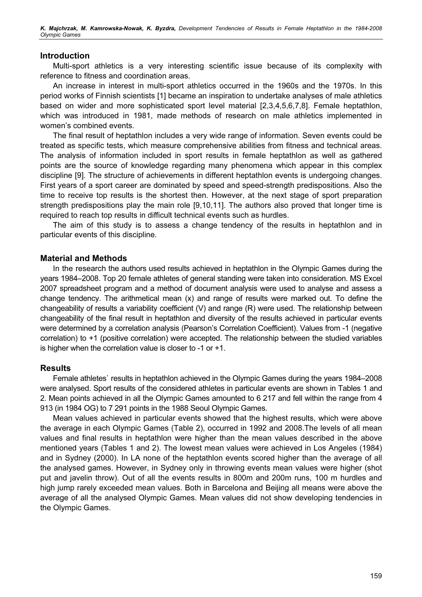K. Majchrzak, M. Kamrowska-Nowak, K. Byzdra, Development Tendencies of Results in Female Heptathlon in the 1984-2008 Olympic Games

#### Introduction

Multi-sport athletics is a very interesting scientific issue because of its complexity with reference to fitness and coordination areas.

An increase in interest in multi-sport athletics occurred in the 1960s and the 1970s. In this period works of Finnish scientists [1] became an inspiration to undertake analyses of male athletics based on wider and more sophisticated sport level material [2,3,4,5,6,7,8]. Female heptathlon, which was introduced in 1981, made methods of research on male athletics implemented in women's combined events.

The final result of heptathlon includes a very wide range of information. Seven events could be treated as specific tests, which measure comprehensive abilities from fitness and technical areas. The analysis of information included in sport results in female heptathlon as well as gathered points are the source of knowledge regarding many phenomena which appear in this complex discipline [9]. The structure of achievements in different heptathlon events is undergoing changes. First years of a sport career are dominated by speed and speed-strength predispositions. Also the time to receive top results is the shortest then. However, at the next stage of sport preparation strength predispositions play the main role [9,10,11]. The authors also proved that longer time is required to reach top results in difficult technical events such as hurdles.

The aim of this study is to assess a change tendency of the results in heptathlon and in particular events of this discipline.

#### Material and Methods

In the research the authors used results achieved in heptathlon in the Olympic Games during the years 1984–2008. Top 20 female athletes of general standing were taken into consideration. MS Excel 2007 spreadsheet program and a method of document analysis were used to analyse and assess a change tendency. The arithmetical mean (x) and range of results were marked out. To define the changeability of results a variability coefficient (V) and range (R) were used. The relationship between changeability of the final result in heptathlon and diversity of the results achieved in particular events were determined by a correlation analysis (Pearson's Correlation Coefficient). Values from -1 (negative correlation) to +1 (positive correlation) were accepted. The relationship between the studied variables is higher when the correlation value is closer to -1 or +1.

#### **Results**

Female athletes` results in heptathlon achieved in the Olympic Games during the years 1984–2008 were analysed. Sport results of the considered athletes in particular events are shown in Tables 1 and 2. Mean points achieved in all the Olympic Games amounted to 6 217 and fell within the range from 4 913 (in 1984 OG) to 7 291 points in the 1988 Seoul Olympic Games.

Mean values achieved in particular events showed that the highest results, which were above the average in each Olympic Games (Table 2), occurred in 1992 and 2008.The levels of all mean values and final results in heptathlon were higher than the mean values described in the above mentioned years (Tables 1 and 2). The lowest mean values were achieved in Los Angeles (1984) and in Sydney (2000). In LA none of the heptathlon events scored higher than the average of all the analysed games. However, in Sydney only in throwing events mean values were higher (shot put and javelin throw). Out of all the events results in 800m and 200m runs, 100 m hurdles and high jump rarely exceeded mean values. Both in Barcelona and Beijing all means were above the average of all the analysed Olympic Games. Mean values did not show developing tendencies in the Olympic Games.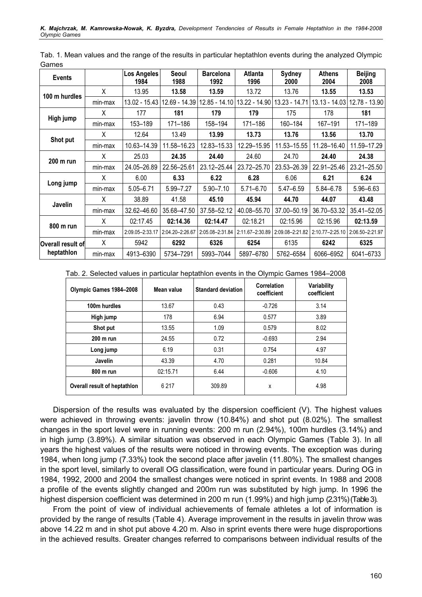| ounivo<br><b>Events</b> |         | <b>Los Angeles</b><br>1984 | Seoul<br>1988   | <b>Barcelona</b><br>1992 | Atlanta<br>1996 | <b>Sydney</b><br>2000 | <b>Athens</b><br>2004 | <b>Beijing</b><br>2008 |
|-------------------------|---------|----------------------------|-----------------|--------------------------|-----------------|-----------------------|-----------------------|------------------------|
|                         | X       | 13.95                      | 13.58           | 13.59                    | 13.72           | 13.76                 | 13.55                 | 13.53                  |
| 100 m hurdles           | min-max | 13.02 - 15.43              | 12.69 - 14.39   | 12.85 - 14.10            | 13.22 - 14.90   | $13.23 - 14.71$       | $13.13 - 14.03$       | 12.78 - 13.90          |
|                         | X       | 177                        | 181             | 179                      | 179             | 175                   | 178                   | 181                    |
| High jump               | min-max | 153-189                    | 171-186         | 158-194                  | 171-186         | 160-184               | 167-191               | 171-189                |
|                         | X       | 12.64                      | 13.49           | 13.99                    | 13.73           | 13.76                 | 13.56                 | 13.70                  |
| Shot put                | min-max | 10.63-14.39                | 11.58-16.23     | 12.83-15.33              | 12.29-15.95     | 11.53-15.55           | 11.28-16.40           | 11.59-17.29            |
|                         | X       | 25.03                      | 24.35           | 24.40                    | 24.60           | 24.70                 | 24.40                 | 24.38                  |
| 200 m run               | min-max | 24.05-26.89                | 22.56-25.61     | 23.12-25.44              | 23.72-25.70     | 23.53-26.39           | 22.91-25.46           | 23.21-25.50            |
|                         | X.      | 6.00                       | 6.33            | 6.22                     | 6.28            | 6.06                  | 6.21                  | 6.24                   |
| Long jump               | min-max | $5.05 - 6.71$              | 5.99 - 7.27     | $5.90 - 7.10$            | $5.71 - 6.70$   | $5.47 - 6.59$         | 5.84-6.78             | $5.96 - 6.63$          |
| Javelin                 | X       | 38.89                      | 41.58           | 45.10                    | 45.94           | 44.70                 | 44.07                 | 43.48                  |
|                         | min-max | 32.62-46.60                | 35.68-47.50     | 37.58-52.12              | 40.08-55.70     | 37.00-50.19           | 36.70 - 53.32         | 35.41-52.05            |
|                         | X       | 02:17.45                   | 02:14.36        | 02:14.47                 | 02:18.21        | 02:15.96              | 02:15.96              | 02:13.59               |
| 800 m run               | min-max | 2:09.05-2:33.17            | 2:04.20-2:26.67 | 2:05.08-2:31.84          | 2:11.67-2:30.89 | 2:09.08-2:21.82       | 2:10.77-2:25.10       | 2:06.50-2:21.97        |
| Overall result of       | X       | 5942                       | 6292            | 6326                     | 6254            | 6135                  | 6242                  | 6325                   |
| heptathlon              | min-max | 4913-6390                  | 5734-7291       | 5993-7044                | 5897-6780       | 5762-6584             | 6066-6952             | 6041-6733              |

Tab. 1. Mean values and the range of the results in particular heptathlon events during the analyzed Olympic Games

|  |  |  | Tab. 2. Selected values in particular heptathlon events in the Olympic Games 1984–2008 |  |
|--|--|--|----------------------------------------------------------------------------------------|--|
|  |  |  |                                                                                        |  |

| Olympic Games 1984-2008      | Mean value | <b>Standard deviation</b> | Correlation<br>coefficient | Variability<br>coefficient |  |
|------------------------------|------------|---------------------------|----------------------------|----------------------------|--|
| 100m hurdles                 | 13.67      | 0.43                      | $-0.726$                   | 3.14                       |  |
| High jump                    | 178        | 6.94                      | 0.577                      | 3.89                       |  |
| Shot put                     | 13.55      | 1.09                      | 0.579                      | 8.02                       |  |
| 200 m run                    | 24.55      | 0.72                      | $-0.693$                   | 2.94                       |  |
| Long jump                    | 6.19       | 0.31                      | 0.754                      | 4.97                       |  |
| Javelin                      | 43.39      | 4.70                      | 0.281                      | 10.84                      |  |
| 800 m run                    | 02:15.71   | 6.44                      | $-0.606$                   | 4.10                       |  |
| Overall result of heptathlon | 6 2 1 7    | 309.89                    | X                          | 4.98                       |  |

Dispersion of the results was evaluated by the dispersion coefficient (V). The highest values were achieved in throwing events: javelin throw (10.84%) and shot put (8.02%). The smallest changes in the sport level were in running events: 200 m run (2.94%), 100m hurdles (3.14%) and in high jump (3.89%). A similar situation was observed in each Olympic Games (Table 3). In all years the highest values of the results were noticed in throwing events. The exception was during 1984, when long jump (7.33%) took the second place after javelin (11.80%). The smallest changes in the sport level, similarly to overall OG classification, were found in particular years. During OG in 1984, 1992, 2000 and 2004 the smallest changes were noticed in sprint events. In 1988 and 2008 a profile of the events slightly changed and 200m run was substituted by high jump. In 1996 the highest dispersion coefficient was determined in 200 m run (1.99%) and high jump (2.31%) (Table 3).

From the point of view of individual achievements of female athletes a lot of information is provided by the range of results (Table 4). Average improvement in the results in javelin throw was above 14.22 m and in shot put above 4.20 m. Also in sprint events there were huge disproportions in the achieved results. Greater changes referred to comparisons between individual results of the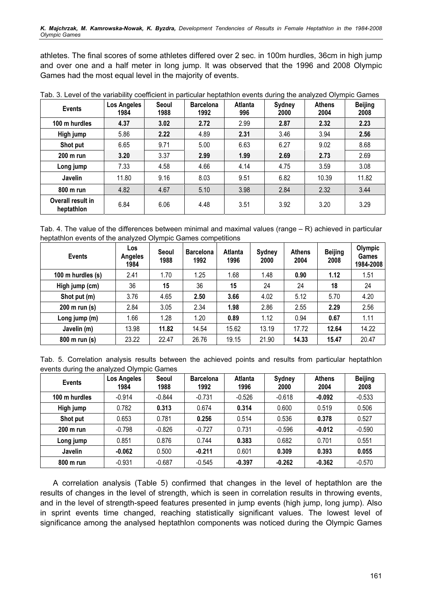athletes. The final scores of some athletes differed over 2 sec. in 100m hurdles, 36cm in high jump and over one and a half meter in long jump. It was observed that the 1996 and 2008 Olympic Games had the most equal level in the majority of events.

| <b>Events</b>                   | <b>Los Angeles</b><br>1984 | <b>Seoul</b><br>1988 | <b>Barcelona</b><br>1992 | <b>Atlanta</b><br>996 | <b>Sydney</b><br>2000 | <b>Athens</b><br>2004 | <b>Beijing</b><br>2008 |
|---------------------------------|----------------------------|----------------------|--------------------------|-----------------------|-----------------------|-----------------------|------------------------|
| 100 m hurdles                   | 4.37                       | 3.02                 | 2.72                     | 2.99                  | 2.87                  | 2.32                  | 2.23                   |
| High jump                       | 5.86                       | 2.22                 | 4.89                     | 2.31                  | 3.46                  | 3.94                  | 2.56                   |
| Shot put                        | 6.65                       | 9.71                 | 5.00                     | 6.63                  | 6.27                  | 9.02                  | 8.68                   |
| 200 m run                       | 3.20                       | 3.37                 | 2.99                     | 1.99                  | 2.69                  | 2.73                  | 2.69                   |
| Long jump                       | 7.33                       | 4.58                 | 4.66                     | 4.14                  | 4.75                  | 3.59                  | 3.08                   |
| Javelin                         | 11.80                      | 9.16                 | 8.03                     | 9.51                  | 6.82                  | 10.39                 | 11.82                  |
| 800 m run                       | 4.82                       | 4.67                 | 5.10                     | 3.98                  | 2.84                  | 2.32                  | 3.44                   |
| Overall result in<br>heptathlon | 6.84                       | 6.06                 | 4.48                     | 3.51                  | 3.92                  | 3.20                  | 3.29                   |

Tab. 3. Level of the variability coefficient in particular heptathlon events during the analyzed Olympic Games

Tab. 4. The value of the differences between minimal and maximal values (range – R) achieved in particular heptathlon events of the analyzed Olympic Games competitions

| <b>Events</b>     | <b>Los</b><br>Angeles<br>1984 | <b>Seoul</b><br>1988 | <b>Barcelona</b><br>1992 | Atlanta<br>1996 | <b>Sydney</b><br>2000 | <b>Athens</b><br>2004 | <b>Beijing</b><br>2008 | Olympic<br><b>Games</b><br>1984-2008 |
|-------------------|-------------------------------|----------------------|--------------------------|-----------------|-----------------------|-----------------------|------------------------|--------------------------------------|
| 100 m hurdles (s) | 2.41                          | 1.70                 | 1.25                     | 1.68            | 1.48                  | 0.90                  | 1.12                   | 1.51                                 |
| High jump (cm)    | 36                            | 15                   | 36                       | 15              | 24                    | 24                    | 18                     | 24                                   |
| Shot put (m)      | 3.76                          | 4.65                 | 2.50                     | 3.66            | 4.02                  | 5.12                  | 5.70                   | 4.20                                 |
| 200 m run (s)     | 2.84                          | 3.05                 | 2.34                     | 1.98            | 2.86                  | 2.55                  | 2.29                   | 2.56                                 |
| Long jump (m)     | 1.66                          | 1.28                 | 1.20                     | 0.89            | 1.12                  | 0.94                  | 0.67                   | 1.11                                 |
| Javelin (m)       | 13.98                         | 11.82                | 14.54                    | 15.62           | 13.19                 | 17.72                 | 12.64                  | 14.22                                |
| 800 m run (s)     | 23.22                         | 22.47                | 26.76                    | 19.15           | 21.90                 | 14.33                 | 15.47                  | 20.47                                |

Tab. 5. Correlation analysis results between the achieved points and results from particular heptathlon events during the analyzed Olympic Games

| <b>Events</b>  | Los Angeles<br>1984 | Seoul<br>1988 | <b>Barcelona</b><br>1992 | <b>Atlanta</b><br>1996 | <b>Sydney</b><br>2000 | <b>Athens</b><br>2004 | <b>Beijing</b><br>2008 |
|----------------|---------------------|---------------|--------------------------|------------------------|-----------------------|-----------------------|------------------------|
| 100 m hurdles  | $-0.914$            | $-0.844$      | $-0.731$                 | $-0.526$               | $-0.618$              | $-0.092$              | $-0.533$               |
| High jump      | 0.782               | 0.313         | 0.674                    | 0.314                  | 0.600                 | 0.519                 | 0.506                  |
| Shot put       | 0.653               | 0.781         | 0.256                    | 0.514                  | 0.536                 | 0.378                 | 0.527                  |
| $200$ m run    | $-0.798$            | $-0.826$      | $-0.727$                 | 0.731                  | $-0.596$              | $-0.012$              | $-0.590$               |
| Long jump      | 0.851               | 0.876         | 0.744                    | 0.383                  | 0.682                 | 0.701                 | 0.551                  |
| <b>Javelin</b> | $-0.062$            | 0.500         | $-0.211$                 | 0.601                  | 0.309                 | 0.393                 | 0.055                  |
| 800 m run      | $-0.931$            | $-0.687$      | $-0.545$                 | $-0.397$               | $-0.262$              | $-0.362$              | $-0.570$               |

A correlation analysis (Table 5) confirmed that changes in the level of heptathlon are the results of changes in the level of strength, which is seen in correlation results in throwing events, and in the level of strength-speed features presented in jump events (high jump, long jump). Also in sprint events time changed, reaching statistically significant values. The lowest level of significance among the analysed heptathlon components was noticed during the Olympic Games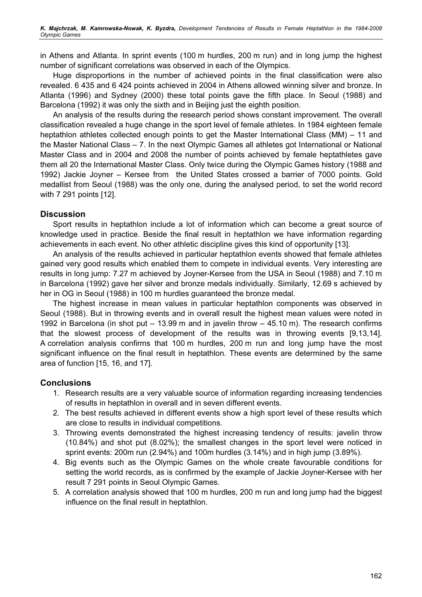in Athens and Atlanta. In sprint events (100 m hurdles, 200 m run) and in long jump the highest number of significant correlations was observed in each of the Olympics.

Huge disproportions in the number of achieved points in the final classification were also revealed. 6 435 and 6 424 points achieved in 2004 in Athens allowed winning silver and bronze. In Atlanta (1996) and Sydney (2000) these total points gave the fifth place. In Seoul (1988) and Barcelona (1992) it was only the sixth and in Beijing just the eighth position.

An analysis of the results during the research period shows constant improvement. The overall classification revealed a huge change in the sport level of female athletes. In 1984 eighteen female heptathlon athletes collected enough points to get the Master International Class (MM) – 11 and the Master National Class – 7. In the next Olympic Games all athletes got International or National Master Class and in 2004 and 2008 the number of points achieved by female heptathletes gave them all 20 the International Master Class. Only twice during the Olympic Games history (1988 and 1992) Jackie Joyner – Kersee from the United States crossed a barrier of 7000 points. Gold medallist from Seoul (1988) was the only one, during the analysed period, to set the world record with 7 291 points [12].

### **Discussion**

Sport results in heptathlon include a lot of information which can become a great source of knowledge used in practice. Beside the final result in heptathlon we have information regarding achievements in each event. No other athletic discipline gives this kind of opportunity [13].

An analysis of the results achieved in particular heptathlon events showed that female athletes gained very good results which enabled them to compete in individual events. Very interesting are results in long jump: 7.27 m achieved by Joyner-Kersee from the USA in Seoul (1988) and 7.10 m in Barcelona (1992) gave her silver and bronze medals individually. Similarly, 12.69 s achieved by her in OG in Seoul (1988) in 100 m hurdles guaranteed the bronze medal.

The highest increase in mean values in particular heptathlon components was observed in Seoul (1988). But in throwing events and in overall result the highest mean values were noted in 1992 in Barcelona (in shot put – 13.99 m and in javelin throw – 45.10 m). The research confirms that the slowest process of development of the results was in throwing events [9,13,14]. A correlation analysis confirms that 100 m hurdles, 200 m run and long jump have the most significant influence on the final result in heptathlon. These events are determined by the same area of function [15, 16, and 17].

## **Conclusions**

- 1. Research results are a very valuable source of information regarding increasing tendencies of results in heptathlon in overall and in seven different events.
- 2. The best results achieved in different events show a high sport level of these results which are close to results in individual competitions.
- 3. Throwing events demonstrated the highest increasing tendency of results: javelin throw (10.84%) and shot put (8.02%); the smallest changes in the sport level were noticed in sprint events: 200m run (2.94%) and 100m hurdles (3.14%) and in high jump (3.89%).
- 4. Big events such as the Olympic Games on the whole create favourable conditions for setting the world records, as is confirmed by the example of Jackie Joyner-Kersee with her result 7 291 points in Seoul Olympic Games.
- 5. A correlation analysis showed that 100 m hurdles, 200 m run and long jump had the biggest influence on the final result in heptathlon.